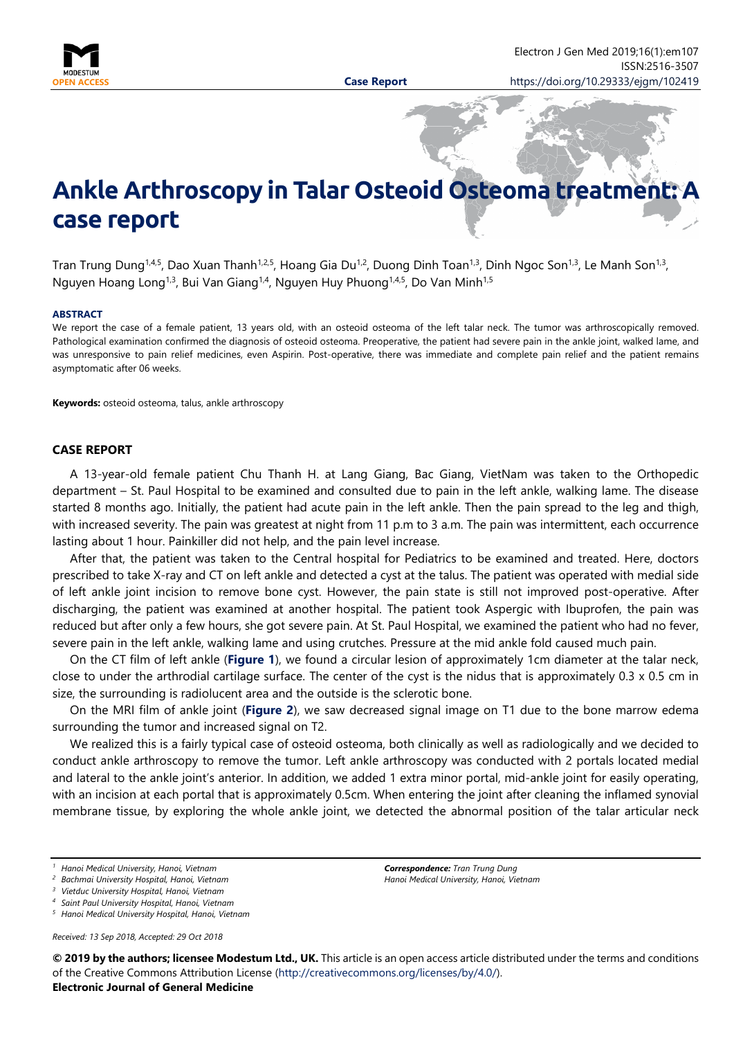

# **Ankle Arthroscopy in Talar Osteoid Osteoma treatment case report**

Tran Trung Dung<sup>1,4,5</sup>, Dao Xuan Thanh<sup>1,2,5</sup>, Hoang Gia Du<sup>1,2</sup>, Duong Dinh Toan<sup>1,3</sup>, Dinh Ngoc Son<sup>1,3</sup>, Le Manh Son<sup>1,3</sup>, Nguyen Hoang Long<sup>1,3</sup>, Bui Van Giang<sup>1,4</sup>, Nguyen Huy Phuong<sup>1,4,5</sup>, Do Van Minh<sup>1,5</sup>

#### **ABSTRACT**

We report the case of a female patient, 13 years old, with an osteoid osteoma of the left talar neck. The tumor was arthroscopically removed. Pathological examination confirmed the diagnosis of osteoid osteoma. Preoperative, the patient had severe pain in the ankle joint, walked lame, and was unresponsive to pain relief medicines, even Aspirin. Post-operative, there was immediate and complete pain relief and the patient remains asymptomatic after 06 weeks.

**Keywords:** osteoid osteoma, talus, ankle arthroscopy

### **CASE REPORT**

A 13-year-old female patient Chu Thanh H. at Lang Giang, Bac Giang, VietNam was taken to the Orthopedic department – St. Paul Hospital to be examined and consulted due to pain in the left ankle, walking lame. The disease started 8 months ago. Initially, the patient had acute pain in the left ankle. Then the pain spread to the leg and thigh, with increased severity. The pain was greatest at night from 11 p.m to 3 a.m. The pain was intermittent, each occurrence lasting about 1 hour. Painkiller did not help, and the pain level increase.

After that, the patient was taken to the Central hospital for Pediatrics to be examined and treated. Here, doctors prescribed to take X-ray and CT on left ankle and detected a cyst at the talus. The patient was operated with medial side of left ankle joint incision to remove bone cyst. However, the pain state is still not improved post-operative. After discharging, the patient was examined at another hospital. The patient took Aspergic with Ibuprofen, the pain was reduced but after only a few hours, she got severe pain. At St. Paul Hospital, we examined the patient who had no fever, severe pain in the left ankle, walking lame and using crutches. Pressure at the mid ankle fold caused much pain.

On the CT film of left ankle (**Figure 1**), we found a circular lesion of approximately 1cm diameter at the talar neck, close to under the arthrodial cartilage surface. The center of the cyst is the nidus that is approximately  $0.3 \times 0.5$  cm in size, the surrounding is radiolucent area and the outside is the sclerotic bone.

On the MRI film of ankle joint (**Figure 2**), we saw decreased signal image on T1 due to the bone marrow edema surrounding the tumor and increased signal on T2.

We realized this is a fairly typical case of osteoid osteoma, both clinically as well as radiologically and we decided to conduct ankle arthroscopy to remove the tumor. Left ankle arthroscopy was conducted with 2 portals located medial and lateral to the ankle joint's anterior. In addition, we added 1 extra minor portal, mid-ankle joint for easily operating, with an incision at each portal that is approximately 0.5cm. When entering the joint after cleaning the inflamed synovial membrane tissue, by exploring the whole ankle joint, we detected the abnormal position of the talar articular neck

*Received: 13 Sep 2018, Accepted: 29 Oct 2018*

*Correspondence: Tran Trung Dung Hanoi Medical University, Hanoi, Vietnam*

**© 2019 by the authors; licensee Modestum Ltd., UK.** This article is an open access article distributed under the terms and conditions of the Creative Commons Attribution License [\(http://creativecommons.org/licenses/by/4.0/\)](http://creativecommons.org/licenses/by/4.0/).

**Electronic Journal of General Medicine**

*<sup>1</sup> Hanoi Medical University, Hanoi, Vietnam*

*<sup>2</sup> Bachmai University Hospital, Hanoi, Vietnam*

*<sup>3</sup> Vietduc University Hospital, Hanoi, Vietnam*

*<sup>4</sup> Saint Paul University Hospital, Hanoi, Vietnam*

*<sup>5</sup> Hanoi Medical University Hospital, Hanoi, Vietnam*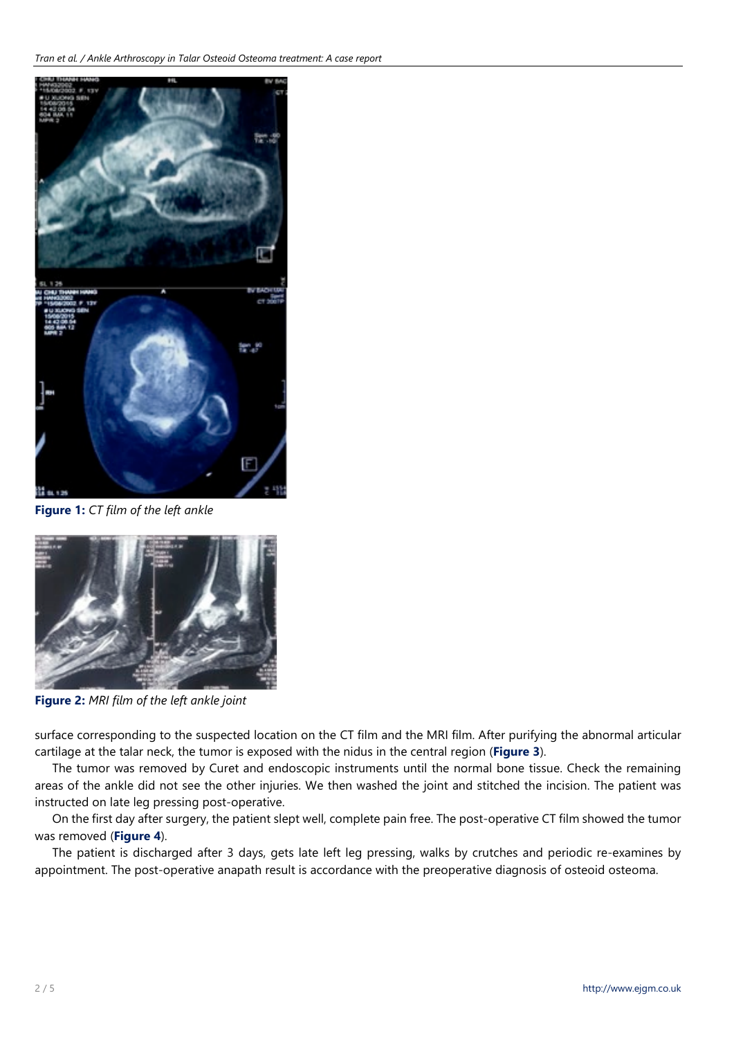

**Figure 1:** *CT film of the left ankle*



**Figure 2:** *MRI film of the left ankle joint*

surface corresponding to the suspected location on the CT film and the MRI film. After purifying the abnormal articular cartilage at the talar neck, the tumor is exposed with the nidus in the central region (**Figure 3**).

The tumor was removed by Curet and endoscopic instruments until the normal bone tissue. Check the remaining areas of the ankle did not see the other injuries. We then washed the joint and stitched the incision. The patient was instructed on late leg pressing post-operative.

On the first day after surgery, the patient slept well, complete pain free. The post-operative CT film showed the tumor was removed (**Figure 4**).

The patient is discharged after 3 days, gets late left leg pressing, walks by crutches and periodic re-examines by appointment. The post-operative anapath result is accordance with the preoperative diagnosis of osteoid osteoma.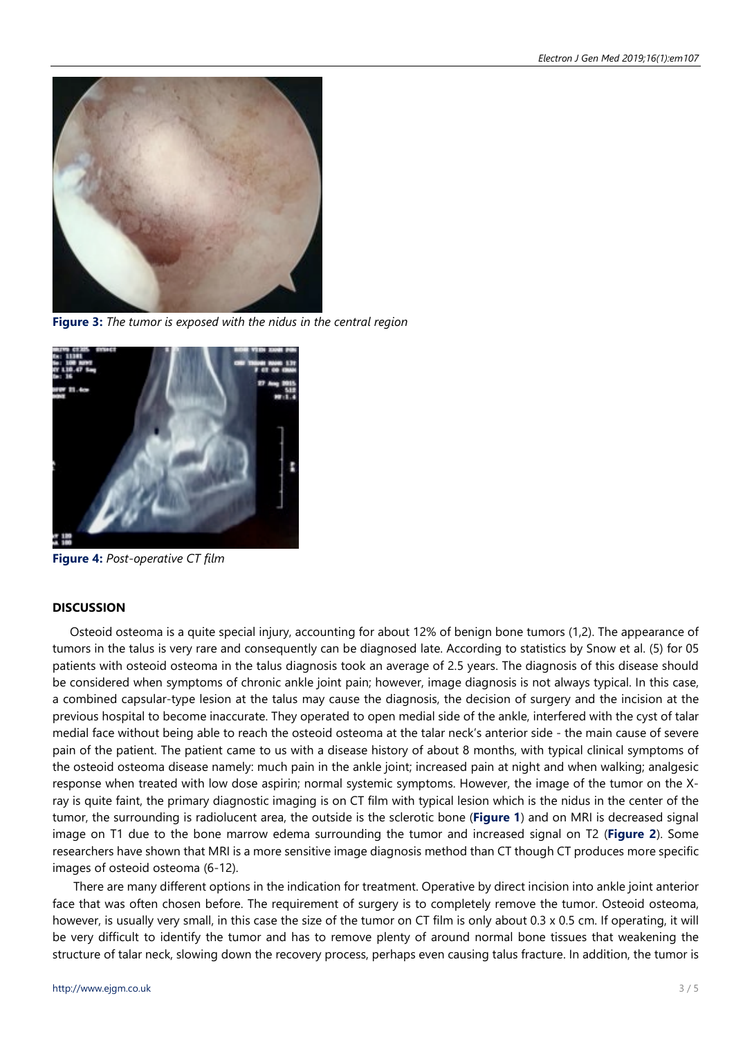

**Figure 3:** *The tumor is exposed with the nidus in the central region*



**Figure 4:** *Post-operative CT film*

## **DISCUSSION**

Osteoid osteoma is a quite special injury, accounting for about 12% of benign bone tumors (1,2). The appearance of tumors in the talus is very rare and consequently can be diagnosed late. According to statistics by Snow et al. (5) for 05 patients with osteoid osteoma in the talus diagnosis took an average of 2.5 years. The diagnosis of this disease should be considered when symptoms of chronic ankle joint pain; however, image diagnosis is not always typical. In this case, a combined capsular-type lesion at the talus may cause the diagnosis, the decision of surgery and the incision at the previous hospital to become inaccurate. They operated to open medial side of the ankle, interfered with the cyst of talar medial face without being able to reach the osteoid osteoma at the talar neck's anterior side - the main cause of severe pain of the patient. The patient came to us with a disease history of about 8 months, with typical clinical symptoms of the osteoid osteoma disease namely: much pain in the ankle joint; increased pain at night and when walking; analgesic response when treated with low dose aspirin; normal systemic symptoms. However, the image of the tumor on the Xray is quite faint, the primary diagnostic imaging is on CT film with typical lesion which is the nidus in the center of the tumor, the surrounding is radiolucent area, the outside is the sclerotic bone (**Figure 1**) and on MRI is decreased signal image on T1 due to the bone marrow edema surrounding the tumor and increased signal on T2 (**Figure 2**). Some researchers have shown that MRI is a more sensitive image diagnosis method than CT though CT produces more specific images of osteoid osteoma (6-12).

There are many different options in the indication for treatment. Operative by direct incision into ankle joint anterior face that was often chosen before. The requirement of surgery is to completely remove the tumor. Osteoid osteoma, however, is usually very small, in this case the size of the tumor on CT film is only about 0.3 x 0.5 cm. If operating, it will be very difficult to identify the tumor and has to remove plenty of around normal bone tissues that weakening the structure of talar neck, slowing down the recovery process, perhaps even causing talus fracture. In addition, the tumor is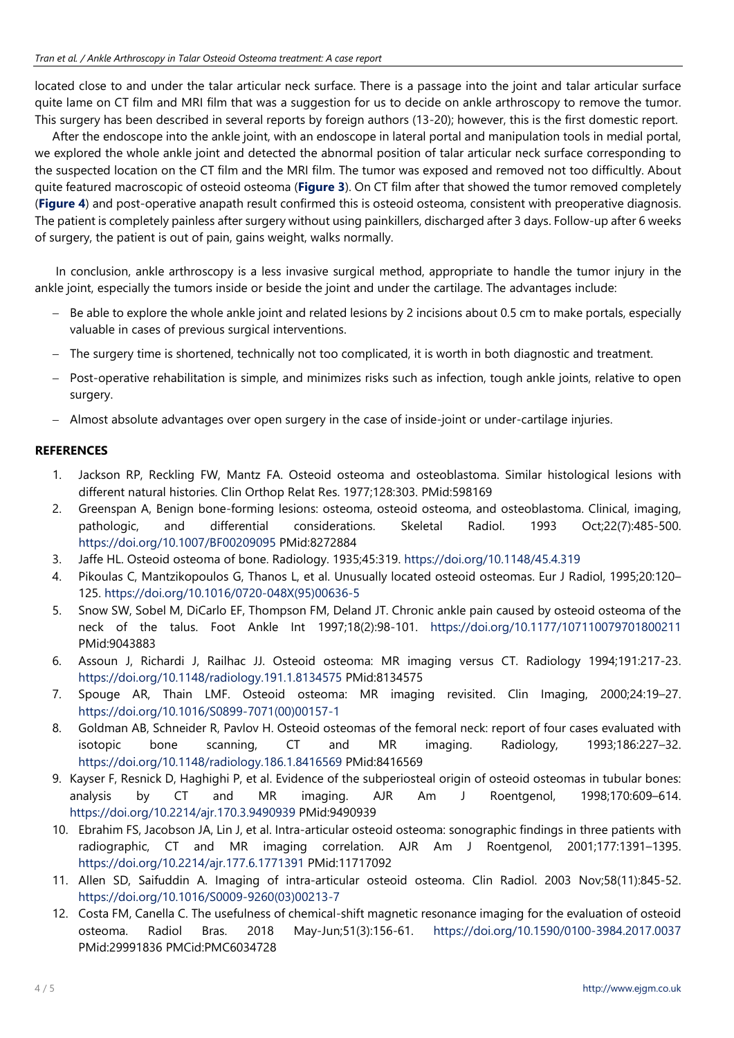located close to and under the talar articular neck surface. There is a passage into the joint and talar articular surface quite lame on CT film and MRI film that was a suggestion for us to decide on ankle arthroscopy to remove the tumor. This surgery has been described in several reports by foreign authors (13-20); however, this is the first domestic report.

After the endoscope into the ankle joint, with an endoscope in lateral portal and manipulation tools in medial portal, we explored the whole ankle joint and detected the abnormal position of talar articular neck surface corresponding to the suspected location on the CT film and the MRI film. The tumor was exposed and removed not too difficultly. About quite featured macroscopic of osteoid osteoma (**Figure 3**). On CT film after that showed the tumor removed completely (**Figure 4**) and post-operative anapath result confirmed this is osteoid osteoma, consistent with preoperative diagnosis. The patient is completely painless after surgery without using painkillers, discharged after 3 days. Follow-up after 6 weeks of surgery, the patient is out of pain, gains weight, walks normally.

In conclusion, ankle arthroscopy is a less invasive surgical method, appropriate to handle the tumor injury in the ankle joint, especially the tumors inside or beside the joint and under the cartilage. The advantages include:

- − Be able to explore the whole ankle joint and related lesions by 2 incisions about 0.5 cm to make portals, especially valuable in cases of previous surgical interventions.
- − The surgery time is shortened, technically not too complicated, it is worth in both diagnostic and treatment.
- − Post-operative rehabilitation is simple, and minimizes risks such as infection, tough ankle joints, relative to open surgery.
- − Almost absolute advantages over open surgery in the case of inside-joint or under-cartilage injuries.

## **REFERENCES**

- 1. Jackson RP, Reckling FW, Mantz FA. Osteoid osteoma and osteoblastoma. Similar histological lesions with different natural histories. Clin Orthop Relat Res. 1977;128:303. PMid:598169
- 2. Greenspan A, Benign bone-forming lesions: osteoma, osteoid osteoma, and osteoblastoma. Clinical, imaging, pathologic, and differential considerations. Skeletal Radiol. 1993 Oct;22(7):485-500. <https://doi.org/10.1007/BF00209095> PMid:8272884
- 3. Jaffe HL. Osteoid osteoma of bone. Radiology. 1935;45:319. <https://doi.org/10.1148/45.4.319>
- 4. Pikoulas C, Mantzikopoulos G, Thanos L, et al. Unusually located osteoid osteomas. Eur J Radiol, 1995;20:120– 125. [https://doi.org/10.1016/0720-048X\(95\)00636-5](https://doi.org/10.1016/0720-048X(95)00636-5)
- 5. Snow SW, Sobel M, DiCarlo EF, Thompson FM, Deland JT. Chronic ankle pain caused by osteoid osteoma of the neck of the talus. Foot Ankle Int 1997;18(2):98-101. <https://doi.org/10.1177/107110079701800211> PMid:9043883
- 6. Assoun J, Richardi J, Railhac JJ. Osteoid osteoma: MR imaging versus CT. Radiology 1994;191:217-23. <https://doi.org/10.1148/radiology.191.1.8134575> PMid:8134575
- 7. Spouge AR, Thain LMF. Osteoid osteoma: MR imaging revisited. Clin Imaging, 2000;24:19–27. [https://doi.org/10.1016/S0899-7071\(00\)00157-1](https://doi.org/10.1016/S0899-7071(00)00157-1)
- 8. Goldman AB, Schneider R, Pavlov H. Osteoid osteomas of the femoral neck: report of four cases evaluated with isotopic bone scanning, CT and MR imaging. Radiology, 1993;186:227–32. <https://doi.org/10.1148/radiology.186.1.8416569> PMid:8416569
- 9. Kayser F, Resnick D, Haghighi P, et al. Evidence of the subperiosteal origin of osteoid osteomas in tubular bones: analysis by CT and MR imaging. AJR Am J Roentgenol, 1998;170:609–614. <https://doi.org/10.2214/ajr.170.3.9490939> PMid:9490939
- 10. Ebrahim FS, Jacobson JA, Lin J, et al. Intra-articular osteoid osteoma: sonographic findings in three patients with radiographic, CT and MR imaging correlation. AJR Am J Roentgenol, 2001;177:1391–1395. <https://doi.org/10.2214/ajr.177.6.1771391> PMid:11717092
- 11. Allen SD, Saifuddin A. Imaging of intra-articular osteoid osteoma. Clin Radiol. 2003 Nov;58(11):845-52. [https://doi.org/10.1016/S0009-9260\(03\)00213-7](https://doi.org/10.1016/S0009-9260(03)00213-7)
- 12. Costa FM, Canella C. The usefulness of chemical-shift magnetic resonance imaging for the evaluation of osteoid osteoma. Radiol Bras. 2018 May-Jun;51(3):156-61. <https://doi.org/10.1590/0100-3984.2017.0037> PMid:29991836 PMCid:PMC6034728